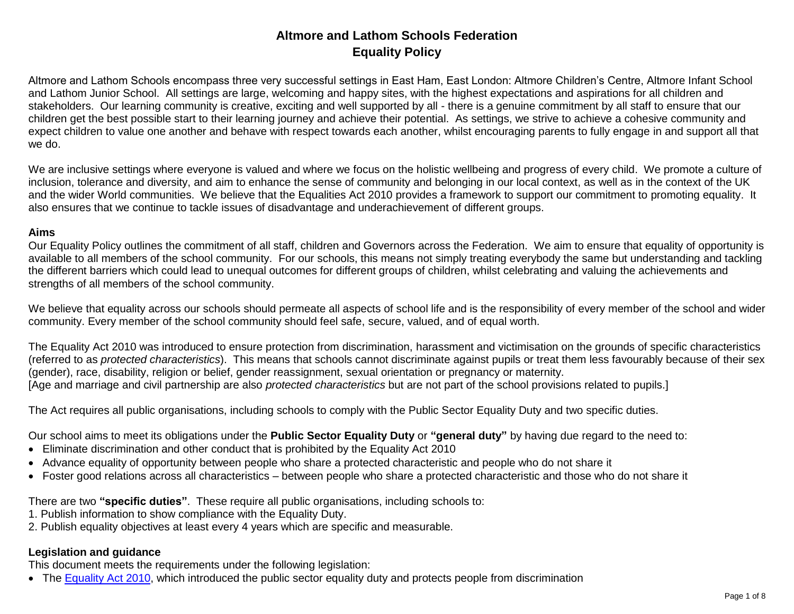# **Altmore and Lathom Schools Federation Equality Policy**

Altmore and Lathom Schools encompass three very successful settings in East Ham, East London: Altmore Children's Centre, Altmore Infant School and Lathom Junior School. All settings are large, welcoming and happy sites, with the highest expectations and aspirations for all children and stakeholders. Our learning community is creative, exciting and well supported by all - there is a genuine commitment by all staff to ensure that our children get the best possible start to their learning journey and achieve their potential. As settings, we strive to achieve a cohesive community and expect children to value one another and behave with respect towards each another, whilst encouraging parents to fully engage in and support all that we do.

We are inclusive settings where everyone is valued and where we focus on the holistic wellbeing and progress of every child. We promote a culture of inclusion, tolerance and diversity, and aim to enhance the sense of community and belonging in our local context, as well as in the context of the UK and the wider World communities. We believe that the Equalities Act 2010 provides a framework to support our commitment to promoting equality. It also ensures that we continue to tackle issues of disadvantage and underachievement of different groups.

#### **Aims**

Our Equality Policy outlines the commitment of all staff, children and Governors across the Federation. We aim to ensure that equality of opportunity is available to all members of the school community. For our schools, this means not simply treating everybody the same but understanding and tackling the different barriers which could lead to unequal outcomes for different groups of children, whilst celebrating and valuing the achievements and strengths of all members of the school community.

We believe that equality across our schools should permeate all aspects of school life and is the responsibility of every member of the school and wider community. Every member of the school community should feel safe, secure, valued, and of equal worth.

The Equality Act 2010 was introduced to ensure protection from discrimination, harassment and victimisation on the grounds of specific characteristics (referred to as *protected characteristics*). This means that schools cannot discriminate against pupils or treat them less favourably because of their sex (gender), race, disability, religion or belief, gender reassignment, sexual orientation or pregnancy or maternity. [Age and marriage and civil partnership are also *protected characteristics* but are not part of the school provisions related to pupils.]

The Act requires all public organisations, including schools to comply with the Public Sector Equality Duty and two specific duties.

Our school aims to meet its obligations under the **Public Sector Equality Duty** or **"general duty"** by having due regard to the need to:

- Eliminate discrimination and other conduct that is prohibited by the Equality Act 2010
- Advance equality of opportunity between people who share a protected characteristic and people who do not share it
- Foster good relations across all characteristics between people who share a protected characteristic and those who do not share it

There are two **"specific duties"**. These require all public organisations, including schools to:

- 1. Publish information to show compliance with the Equality Duty.
- 2. Publish equality objectives at least every 4 years which are specific and measurable.

# **Legislation and guidance**

This document meets the requirements under the following legislation:

• The [Equality Act 2010,](https://www.legislation.gov.uk/ukpga/2010/15/contents) which introduced the public sector equality duty and protects people from discrimination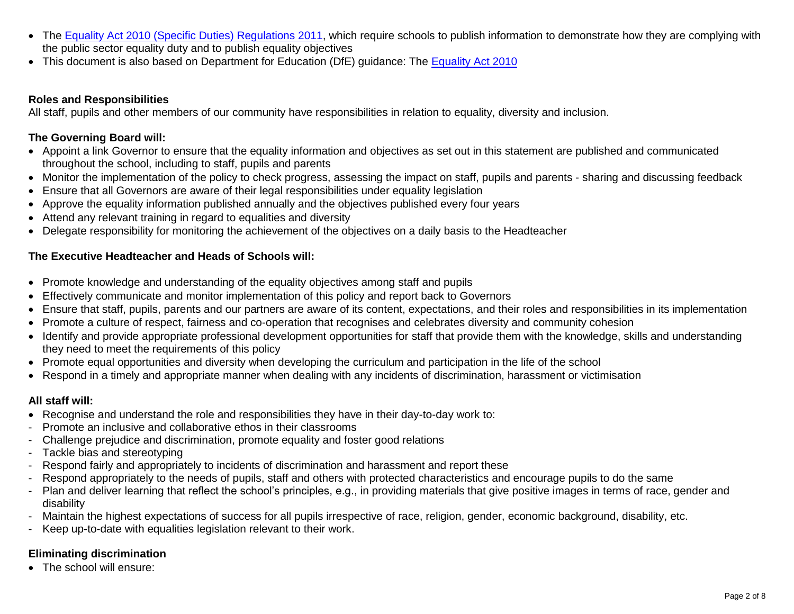- The [Equality Act 2010 \(Specific Duties\) Regulations 2011,](https://www.legislation.gov.uk/uksi/2011/2260/contents/made) which require schools to publish information to demonstrate how they are complying with the public sector equality duty and to publish equality objectives
- This document is also based on Department for Education (DfE) guidance: The [Equality Act 2010](https://assets.publishing.service.gov.uk/government/uploads/system/uploads/attachment_data/file/315587/Equality_Act_Advice_Final.pdf)

#### **Roles and Responsibilities**

All staff, pupils and other members of our community have responsibilities in relation to equality, diversity and inclusion.

#### **The Governing Board will:**

- Appoint a link Governor to ensure that the equality information and objectives as set out in this statement are published and communicated throughout the school, including to staff, pupils and parents
- Monitor the implementation of the policy to check progress, assessing the impact on staff, pupils and parents sharing and discussing feedback
- Ensure that all Governors are aware of their legal responsibilities under equality legislation
- Approve the equality information published annually and the objectives published every four years
- Attend any relevant training in regard to equalities and diversity
- Delegate responsibility for monitoring the achievement of the objectives on a daily basis to the Headteacher

#### **The Executive Headteacher and Heads of Schools will:**

- Promote knowledge and understanding of the equality objectives among staff and pupils
- Effectively communicate and monitor implementation of this policy and report back to Governors
- Ensure that staff, pupils, parents and our partners are aware of its content, expectations, and their roles and responsibilities in its implementation
- Promote a culture of respect, fairness and co-operation that recognises and celebrates diversity and community cohesion
- Identify and provide appropriate professional development opportunities for staff that provide them with the knowledge, skills and understanding they need to meet the requirements of this policy
- Promote equal opportunities and diversity when developing the curriculum and participation in the life of the school
- Respond in a timely and appropriate manner when dealing with any incidents of discrimination, harassment or victimisation

#### **All staff will:**

- Recognise and understand the role and responsibilities they have in their day-to-day work to:
- Promote an inclusive and collaborative ethos in their classrooms
- Challenge prejudice and discrimination, promote equality and foster good relations
- Tackle bias and stereotyping
- Respond fairly and appropriately to incidents of discrimination and harassment and report these
- Respond appropriately to the needs of pupils, staff and others with protected characteristics and encourage pupils to do the same
- Plan and deliver learning that reflect the school's principles, e.g., in providing materials that give positive images in terms of race, gender and disability
- Maintain the highest expectations of success for all pupils irrespective of race, religion, gender, economic background, disability, etc.
- Keep up-to-date with equalities legislation relevant to their work.

# **Eliminating discrimination**

• The school will ensure: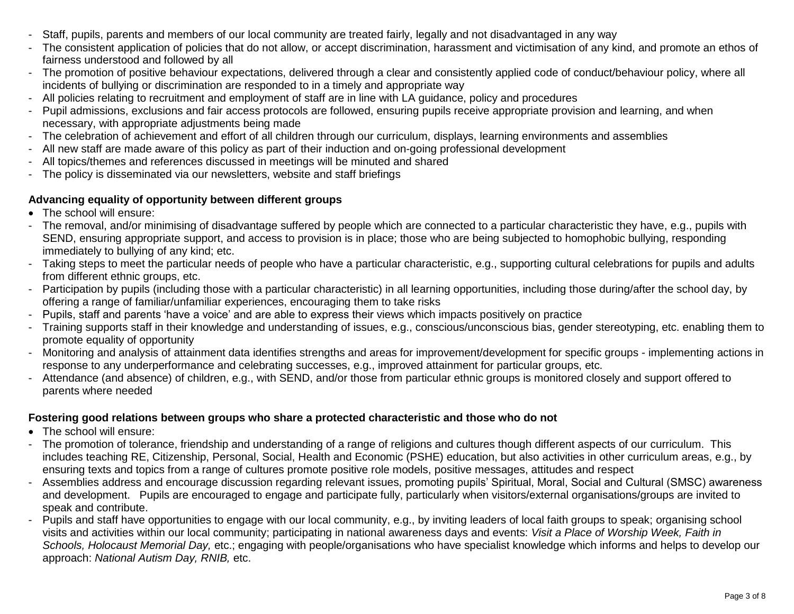- Staff, pupils, parents and members of our local community are treated fairly, legally and not disadvantaged in any way
- The consistent application of policies that do not allow, or accept discrimination, harassment and victimisation of any kind, and promote an ethos of fairness understood and followed by all
- The promotion of positive behaviour expectations, delivered through a clear and consistently applied code of conduct/behaviour policy, where all incidents of bullying or discrimination are responded to in a timely and appropriate way
- All policies relating to recruitment and employment of staff are in line with LA guidance, policy and procedures
- Pupil admissions, exclusions and fair access protocols are followed, ensuring pupils receive appropriate provision and learning, and when necessary, with appropriate adjustments being made
- The celebration of achievement and effort of all children through our curriculum, displays, learning environments and assemblies
- All new staff are made aware of this policy as part of their induction and on-going professional development
- All topics/themes and references discussed in meetings will be minuted and shared
- The policy is disseminated via our newsletters, website and staff briefings

### **Advancing equality of opportunity between different groups**

- The school will ensure:
- The removal, and/or minimising of disadvantage suffered by people which are connected to a particular characteristic they have, e.g., pupils with SEND, ensuring appropriate support, and access to provision is in place; those who are being subjected to homophobic bullying, responding immediately to bullying of any kind; etc.
- Taking steps to meet the particular needs of people who have a particular characteristic, e.g., supporting cultural celebrations for pupils and adults from different ethnic groups, etc.
- Participation by pupils (including those with a particular characteristic) in all learning opportunities, including those during/after the school day, by offering a range of familiar/unfamiliar experiences, encouraging them to take risks
- Pupils, staff and parents 'have a voice' and are able to express their views which impacts positively on practice
- Training supports staff in their knowledge and understanding of issues, e.g., conscious/unconscious bias, gender stereotyping, etc. enabling them to promote equality of opportunity
- Monitoring and analysis of attainment data identifies strengths and areas for improvement/development for specific groups implementing actions in response to any underperformance and celebrating successes, e.g., improved attainment for particular groups, etc.
- Attendance (and absence) of children, e.g., with SEND, and/or those from particular ethnic groups is monitored closely and support offered to parents where needed

## **Fostering good relations between groups who share a protected characteristic and those who do not**

- The school will ensure:
- The promotion of tolerance, friendship and understanding of a range of religions and cultures though different aspects of our curriculum. This includes teaching RE, Citizenship, Personal, Social, Health and Economic (PSHE) education, but also activities in other curriculum areas, e.g., by ensuring texts and topics from a range of cultures promote positive role models, positive messages, attitudes and respect
- Assemblies address and encourage discussion regarding relevant issues, promoting pupils' Spiritual, Moral, Social and Cultural (SMSC) awareness and development. Pupils are encouraged to engage and participate fully, particularly when visitors/external organisations/groups are invited to speak and contribute.
- Pupils and staff have opportunities to engage with our local community, e.g., by inviting leaders of local faith groups to speak; organising school visits and activities within our local community; participating in national awareness days and events: *Visit a Place of Worship Week, Faith in Schools, Holocaust Memorial Day,* etc.; engaging with people/organisations who have specialist knowledge which informs and helps to develop our approach: *National Autism Day, RNIB,* etc.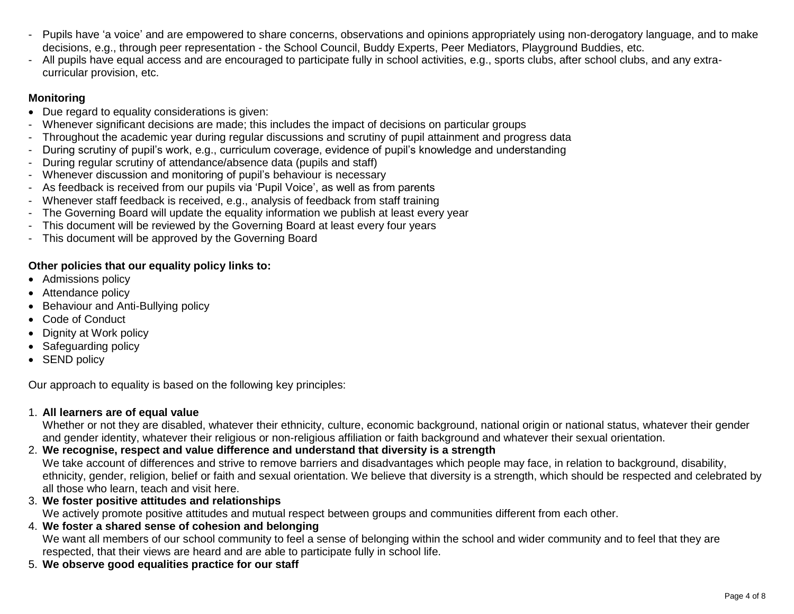- Pupils have 'a voice' and are empowered to share concerns, observations and opinions appropriately using non-derogatory language, and to make decisions, e.g., through peer representation - the School Council, Buddy Experts, Peer Mediators, Playground Buddies, etc.
- All pupils have equal access and are encouraged to participate fully in school activities, e.g., sports clubs, after school clubs, and any extracurricular provision, etc.

## **Monitoring**

- Due regard to equality considerations is given:
- Whenever significant decisions are made; this includes the impact of decisions on particular groups
- Throughout the academic year during regular discussions and scrutiny of pupil attainment and progress data
- During scrutiny of pupil's work, e.g., curriculum coverage, evidence of pupil's knowledge and understanding
- During regular scrutiny of attendance/absence data (pupils and staff)
- Whenever discussion and monitoring of pupil's behaviour is necessary
- As feedback is received from our pupils via 'Pupil Voice', as well as from parents
- Whenever staff feedback is received, e.g., analysis of feedback from staff training
- The Governing Board will update the equality information we publish at least every year
- This document will be reviewed by the Governing Board at least every four years
- This document will be approved by the Governing Board

## **Other policies that our equality policy links to:**

- Admissions policy
- Attendance policy
- Behaviour and Anti-Bullying policy
- Code of Conduct
- Dignity at Work policy
- Safeguarding policy
- SEND policy

Our approach to equality is based on the following key principles:

#### 1. **All learners are of equal value**

Whether or not they are disabled, whatever their ethnicity, culture, economic background, national origin or national status, whatever their gender and gender identity, whatever their religious or non-religious affiliation or faith background and whatever their sexual orientation.

## 2. **We recognise, respect and value difference and understand that diversity is a strength**

We take account of differences and strive to remove barriers and disadvantages which people may face, in relation to background, disability, ethnicity, gender, religion, belief or faith and sexual orientation. We believe that diversity is a strength, which should be respected and celebrated by all those who learn, teach and visit here.

3. **We foster positive attitudes and relationships**

We actively promote positive attitudes and mutual respect between groups and communities different from each other.

## 4. **We foster a shared sense of cohesion and belonging**

We want all members of our school community to feel a sense of belonging within the school and wider community and to feel that they are respected, that their views are heard and are able to participate fully in school life.

5. **We observe good equalities practice for our staff**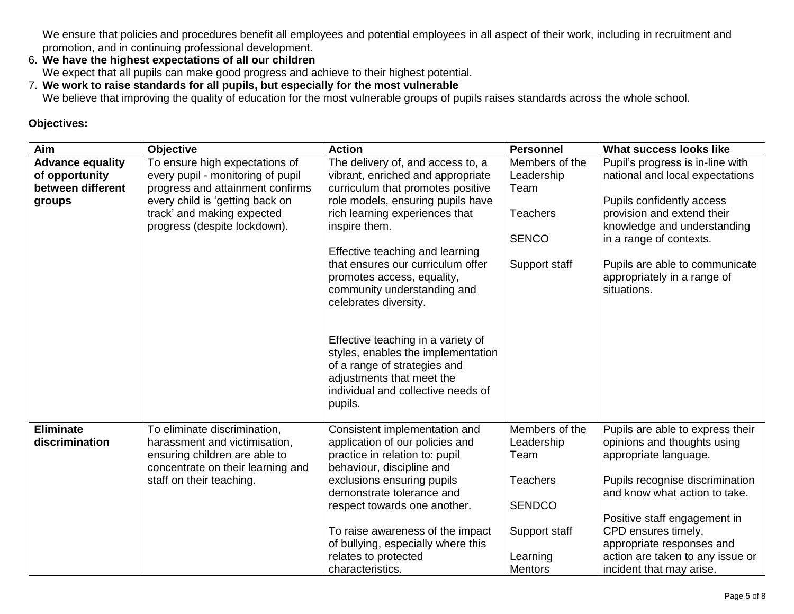We ensure that policies and procedures benefit all employees and potential employees in all aspect of their work, including in recruitment and promotion, and in continuing professional development.

## 6. **We have the highest expectations of all our children**

We expect that all pupils can make good progress and achieve to their highest potential.

7. **We work to raise standards for all pupils, but especially for the most vulnerable**

We believe that improving the quality of education for the most vulnerable groups of pupils raises standards across the whole school.

## **Objectives:**

| Aim                                                                      | <b>Objective</b>                                                                                                                           | <b>Action</b>                                                                                                                                                                          | <b>Personnel</b>                            | What success looks like                                                                                                                          |
|--------------------------------------------------------------------------|--------------------------------------------------------------------------------------------------------------------------------------------|----------------------------------------------------------------------------------------------------------------------------------------------------------------------------------------|---------------------------------------------|--------------------------------------------------------------------------------------------------------------------------------------------------|
| <b>Advance equality</b><br>of opportunity<br>between different<br>groups | To ensure high expectations of<br>every pupil - monitoring of pupil<br>progress and attainment confirms<br>every child is 'getting back on | The delivery of, and access to, a<br>vibrant, enriched and appropriate<br>curriculum that promotes positive<br>role models, ensuring pupils have                                       | Members of the<br>Leadership<br>Team        | Pupil's progress is in-line with<br>national and local expectations<br>Pupils confidently access                                                 |
|                                                                          | track' and making expected<br>progress (despite lockdown).                                                                                 | rich learning experiences that<br>inspire them.<br>Effective teaching and learning                                                                                                     | <b>Teachers</b><br><b>SENCO</b>             | provision and extend their<br>knowledge and understanding<br>in a range of contexts.                                                             |
|                                                                          |                                                                                                                                            | that ensures our curriculum offer<br>promotes access, equality,<br>community understanding and<br>celebrates diversity.                                                                | Support staff                               | Pupils are able to communicate<br>appropriately in a range of<br>situations.                                                                     |
|                                                                          |                                                                                                                                            | Effective teaching in a variety of<br>styles, enables the implementation<br>of a range of strategies and<br>adjustments that meet the<br>individual and collective needs of<br>pupils. |                                             |                                                                                                                                                  |
| <b>Eliminate</b><br>discrimination                                       | To eliminate discrimination,<br>harassment and victimisation,<br>ensuring children are able to<br>concentrate on their learning and        | Consistent implementation and<br>application of our policies and<br>practice in relation to: pupil<br>behaviour, discipline and                                                        | Members of the<br>Leadership<br>Team        | Pupils are able to express their<br>opinions and thoughts using<br>appropriate language.                                                         |
|                                                                          | staff on their teaching.                                                                                                                   | exclusions ensuring pupils<br>demonstrate tolerance and<br>respect towards one another.                                                                                                | <b>Teachers</b><br><b>SENDCO</b>            | Pupils recognise discrimination<br>and know what action to take.                                                                                 |
|                                                                          |                                                                                                                                            | To raise awareness of the impact<br>of bullying, especially where this<br>relates to protected<br>characteristics.                                                                     | Support staff<br>Learning<br><b>Mentors</b> | Positive staff engagement in<br>CPD ensures timely,<br>appropriate responses and<br>action are taken to any issue or<br>incident that may arise. |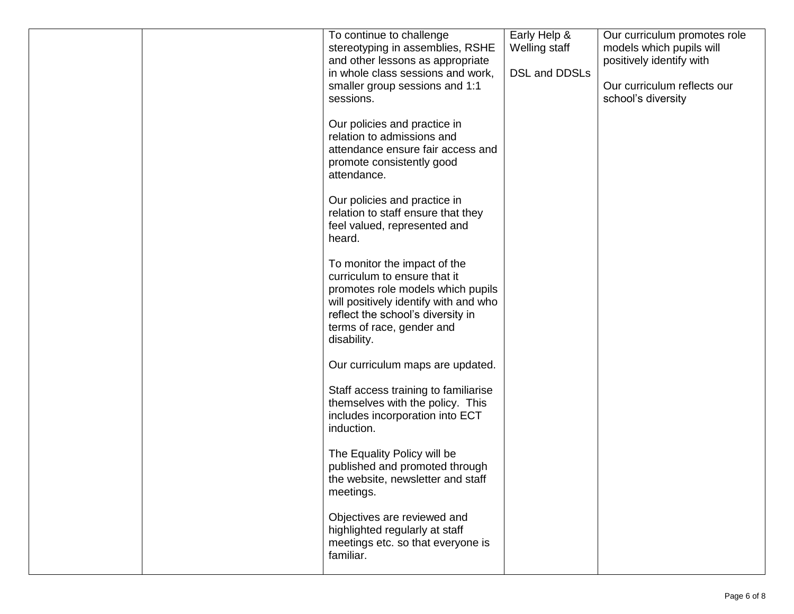|  | To continue to challenge<br>stereotyping in assemblies, RSHE<br>and other lessons as appropriate<br>in whole class sessions and work,<br>smaller group sessions and 1:1<br>sessions.                                        | Early Help &<br>Welling staff<br>DSL and DDSLs | Our curriculum promotes role<br>models which pupils will<br>positively identify with<br>Our curriculum reflects our<br>school's diversity |
|--|-----------------------------------------------------------------------------------------------------------------------------------------------------------------------------------------------------------------------------|------------------------------------------------|-------------------------------------------------------------------------------------------------------------------------------------------|
|  | Our policies and practice in<br>relation to admissions and<br>attendance ensure fair access and<br>promote consistently good<br>attendance.                                                                                 |                                                |                                                                                                                                           |
|  | Our policies and practice in<br>relation to staff ensure that they<br>feel valued, represented and<br>heard.                                                                                                                |                                                |                                                                                                                                           |
|  | To monitor the impact of the<br>curriculum to ensure that it<br>promotes role models which pupils<br>will positively identify with and who<br>reflect the school's diversity in<br>terms of race, gender and<br>disability. |                                                |                                                                                                                                           |
|  | Our curriculum maps are updated.                                                                                                                                                                                            |                                                |                                                                                                                                           |
|  | Staff access training to familiarise<br>themselves with the policy. This<br>includes incorporation into ECT<br>induction.                                                                                                   |                                                |                                                                                                                                           |
|  | The Equality Policy will be<br>published and promoted through<br>the website, newsletter and staff<br>meetings.                                                                                                             |                                                |                                                                                                                                           |
|  | Objectives are reviewed and<br>highlighted regularly at staff<br>meetings etc. so that everyone is<br>familiar.                                                                                                             |                                                |                                                                                                                                           |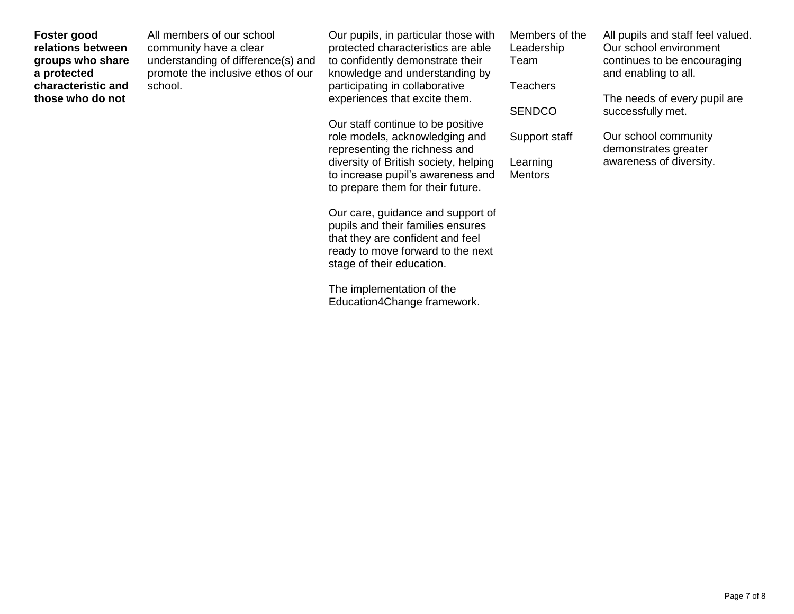| Foster good        | All members of our school          | Our pupils, in particular those with  | Members of the  | All pupils and staff feel valued. |
|--------------------|------------------------------------|---------------------------------------|-----------------|-----------------------------------|
| relations between  | community have a clear             | protected characteristics are able    | Leadership      | Our school environment            |
| groups who share   | understanding of difference(s) and | to confidently demonstrate their      | Team            | continues to be encouraging       |
| a protected        | promote the inclusive ethos of our | knowledge and understanding by        |                 | and enabling to all.              |
| characteristic and | school.                            |                                       | <b>Teachers</b> |                                   |
|                    |                                    | participating in collaborative        |                 |                                   |
| those who do not   |                                    | experiences that excite them.         |                 | The needs of every pupil are      |
|                    |                                    |                                       | <b>SENDCO</b>   | successfully met.                 |
|                    |                                    | Our staff continue to be positive     |                 |                                   |
|                    |                                    | role models, acknowledging and        | Support staff   | Our school community              |
|                    |                                    | representing the richness and         |                 | demonstrates greater              |
|                    |                                    | diversity of British society, helping | Learning        | awareness of diversity.           |
|                    |                                    | to increase pupil's awareness and     | <b>Mentors</b>  |                                   |
|                    |                                    | to prepare them for their future.     |                 |                                   |
|                    |                                    |                                       |                 |                                   |
|                    |                                    | Our care, guidance and support of     |                 |                                   |
|                    |                                    | pupils and their families ensures     |                 |                                   |
|                    |                                    |                                       |                 |                                   |
|                    |                                    | that they are confident and feel      |                 |                                   |
|                    |                                    | ready to move forward to the next     |                 |                                   |
|                    |                                    | stage of their education.             |                 |                                   |
|                    |                                    |                                       |                 |                                   |
|                    |                                    | The implementation of the             |                 |                                   |
|                    |                                    | Education4Change framework.           |                 |                                   |
|                    |                                    |                                       |                 |                                   |
|                    |                                    |                                       |                 |                                   |
|                    |                                    |                                       |                 |                                   |
|                    |                                    |                                       |                 |                                   |
|                    |                                    |                                       |                 |                                   |
|                    |                                    |                                       |                 |                                   |